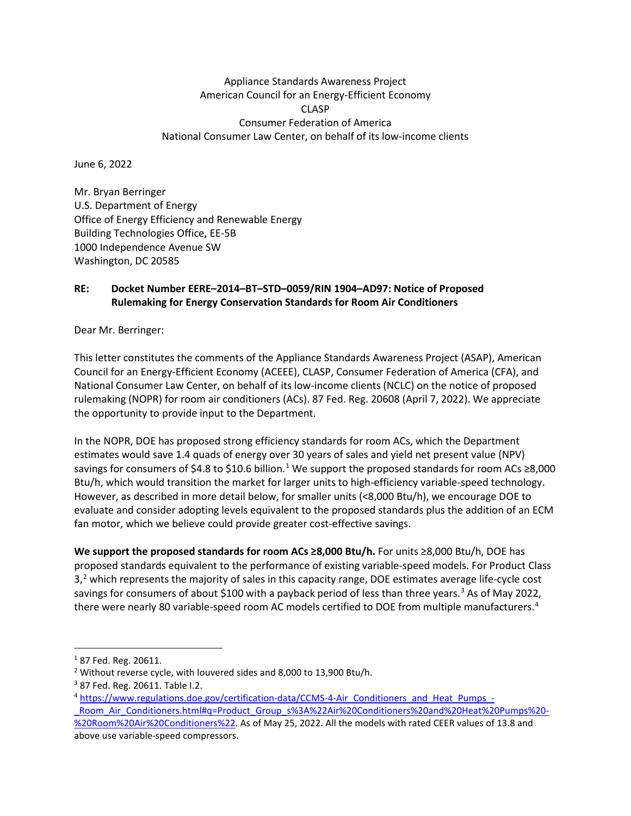## Appliance Standards Awareness Project American Council for an Energy-Efficient Economy CLASP Consumer Federation of America National Consumer Law Center, on behalf of its low-income clients

June 6, 2022

Mr. Bryan Berringer U.S. Department of Energy Office of Energy Efficiency and Renewable Energy Building Technologies Office, EE-5B 1000 Independence Avenue SW Washington, DC 20585

## **RE: Docket Number EERE–2014–BT–STD–0059/RIN 1904–AD97: Notice of Proposed Rulemaking for Energy Conservation Standards for Room Air Conditioners**

Dear Mr. Berringer:

This letter constitutes the comments of the Appliance Standards Awareness Project (ASAP), American Council for an Energy-Efficient Economy (ACEEE), CLASP, Consumer Federation of America (CFA), and National Consumer Law Center, on behalf of its low-income clients (NCLC) on the notice of proposed rulemaking (NOPR) for room air conditioners (ACs). 87 Fed. Reg. 20608 (April 7, 2022). We appreciate the opportunity to provide input to the Department.

In the NOPR, DOE has proposed strong efficiency standards for room ACs, which the Department estimates would save 1.4 quads of energy over 30 years of sales and yield net present value (NPV) savings for consumers of \$4.8 to \$[1](#page-0-0)0.6 billion.<sup>1</sup> We support the proposed standards for room ACs ≥8,000 Btu/h, which would transition the market for larger units to high-efficiency variable-speed technology. However, as described in more detail below, for smaller units (<8,000 Btu/h), we encourage DOE to evaluate and consider adopting levels equivalent to the proposed standards plus the addition of an ECM fan motor, which we believe could provide greater cost-effective savings.

**We support the proposed standards for room ACs ≥8,000 Btu/h.** For units ≥8,000 Btu/h, DOE has proposed standards equivalent to the performance of existing variable-speed models. For Product Class  $3<sup>2</sup>$  $3<sup>2</sup>$  $3<sup>2</sup>$  which represents the majority of sales in this capacity range, DOE estimates average life-cycle cost savings for consumers of about \$100 with a payback period of less than three years.<sup>[3](#page-0-2)</sup> As of May 2022, there were nearly 80 variable-speed room AC models certified to DOE from multiple manufacturers.[4](#page-0-3)

<span id="page-0-0"></span><sup>1</sup> 87 Fed. Reg. 20611.

<span id="page-0-1"></span><sup>2</sup> Without reverse cycle, with louvered sides and 8,000 to 13,900 Btu/h.

<span id="page-0-2"></span> $3$  87 Fed. Reg. 20611. Table I.2.

<span id="page-0-3"></span><sup>4</sup> [https://www.regulations.doe.gov/certification-data/CCMS-4-Air\\_Conditioners\\_and\\_Heat\\_Pumps\\_-](https://www.regulations.doe.gov/certification-data/CCMS-4-Air_Conditioners_and_Heat_Pumps_-_Room_Air_Conditioners.html#q=Product_Group_s%3A%22Air%20Conditioners%20and%20Heat%20Pumps%20-%20Room%20Air%20Conditioners%22) Room Air Conditioners.html#q=Product Group s%3A%22Air%20Conditioners%20and%20Heat%20Pumps%20-[%20Room%20Air%20Conditioners%22.](https://www.regulations.doe.gov/certification-data/CCMS-4-Air_Conditioners_and_Heat_Pumps_-_Room_Air_Conditioners.html#q=Product_Group_s%3A%22Air%20Conditioners%20and%20Heat%20Pumps%20-%20Room%20Air%20Conditioners%22) As of May 25, 2022. All the models with rated CEER values of 13.8 and above use variable-speed compressors.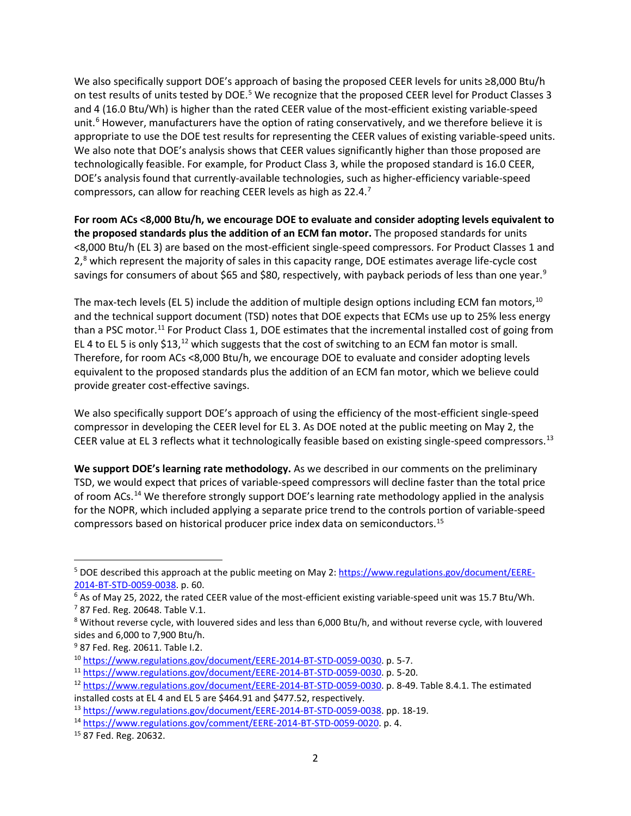We also specifically support DOE's approach of basing the proposed CEER levels for units ≥8,000 Btu/h on test results of units tested by DOE.<sup>[5](#page-1-0)</sup> We recognize that the proposed CEER level for Product Classes 3 and 4 (16.0 Btu/Wh) is higher than the rated CEER value of the most-efficient existing variable-speed unit.<sup>[6](#page-1-1)</sup> However, manufacturers have the option of rating conservatively, and we therefore believe it is appropriate to use the DOE test results for representing the CEER values of existing variable-speed units. We also note that DOE's analysis shows that CEER values significantly higher than those proposed are technologically feasible. For example, for Product Class 3, while the proposed standard is 16.0 CEER, DOE's analysis found that currently-available technologies, such as higher-efficiency variable-speed compressors, can allow for reaching CEER levels as high as 22.4.[7](#page-1-2)

**For room ACs <8,000 Btu/h, we encourage DOE to evaluate and consider adopting levels equivalent to the proposed standards plus the addition of an ECM fan motor.** The proposed standards for units <8,000 Btu/h (EL 3) are based on the most-efficient single-speed compressors. For Product Classes 1 and  $2<sup>8</sup>$  $2<sup>8</sup>$  $2<sup>8</sup>$  which represent the majority of sales in this capacity range, DOE estimates average life-cycle cost savings for consumers of about \$65 and \$80, respectively, with payback periods of less than one year.<sup>[9](#page-1-4)</sup>

The max-tech levels (EL 5) include the addition of multiple design options including ECM fan motors,<sup>[10](#page-1-5)</sup> and the technical support document (TSD) notes that DOE expects that ECMs use up to 25% less energy than a PSC motor.<sup>[11](#page-1-6)</sup> For Product Class 1, DOE estimates that the incremental installed cost of going from EL 4 to EL 5 is only \$13,<sup>[12](#page-1-7)</sup> which suggests that the cost of switching to an ECM fan motor is small. Therefore, for room ACs <8,000 Btu/h, we encourage DOE to evaluate and consider adopting levels equivalent to the proposed standards plus the addition of an ECM fan motor, which we believe could provide greater cost-effective savings.

We also specifically support DOE's approach of using the efficiency of the most-efficient single-speed compressor in developing the CEER level for EL 3. As DOE noted at the public meeting on May 2, the CEER value at EL 3 reflects what it technologically feasible based on existing single-speed compressors.<sup>13</sup>

**We support DOE's learning rate methodology.** As we described in our comments on the preliminary TSD, we would expect that prices of variable-speed compressors will decline faster than the total price of room ACs.[14](#page-1-9) We therefore strongly support DOE's learning rate methodology applied in the analysis for the NOPR, which included applying a separate price trend to the controls portion of variable-speed compressors based on historical producer price index data on semiconductors.[15](#page-1-10)

<span id="page-1-0"></span><sup>&</sup>lt;sup>5</sup> DOE described this approach at the public meeting on May 2: [https://www.regulations.gov/document/EERE-](https://www.regulations.gov/document/EERE-2014-BT-STD-0059-0038)[2014-BT-STD-0059-0038.](https://www.regulations.gov/document/EERE-2014-BT-STD-0059-0038) p. 60.

<span id="page-1-1"></span> $6$  As of May 25, 2022, the rated CEER value of the most-efficient existing variable-speed unit was 15.7 Btu/Wh.

<span id="page-1-2"></span> $7$  87 Fed. Reg. 20648. Table V.1.

<span id="page-1-3"></span><sup>&</sup>lt;sup>8</sup> Without reverse cycle, with louvered sides and less than 6,000 Btu/h, and without reverse cycle, with louvered sides and 6,000 to 7,900 Btu/h.

<span id="page-1-4"></span><sup>&</sup>lt;sup>9</sup> 87 Fed. Reg. 20611. Table I.2.

<span id="page-1-5"></span><sup>10</sup> [https://www.regulations.gov/document/EERE-2014-BT-STD-0059-0030.](https://www.regulations.gov/document/EERE-2014-BT-STD-0059-0030) p. 5-7.

<span id="page-1-6"></span><sup>11</sup> [https://www.regulations.gov/document/EERE-2014-BT-STD-0059-0030.](https://www.regulations.gov/document/EERE-2014-BT-STD-0059-0030) p. 5-20.

<span id="page-1-7"></span><sup>&</sup>lt;sup>12</sup> [https://www.regulations.gov/document/EERE-2014-BT-STD-0059-0030.](https://www.regulations.gov/document/EERE-2014-BT-STD-0059-0030) p. 8-49. Table 8.4.1. The estimated installed costs at EL 4 and EL 5 are \$464.91 and \$477.52, respectively.

<span id="page-1-8"></span><sup>13</sup> [https://www.regulations.gov/document/EERE-2014-BT-STD-0059-0038.](https://www.regulations.gov/document/EERE-2014-BT-STD-0059-0038) pp. 18-19.

<span id="page-1-9"></span><sup>&</sup>lt;sup>14</sup> [https://www.regulations.gov/comment/EERE-2014-BT-STD-0059-0020.](https://www.regulations.gov/comment/EERE-2014-BT-STD-0059-0020) p. 4.

<span id="page-1-10"></span><sup>15</sup> 87 Fed. Reg. 20632.